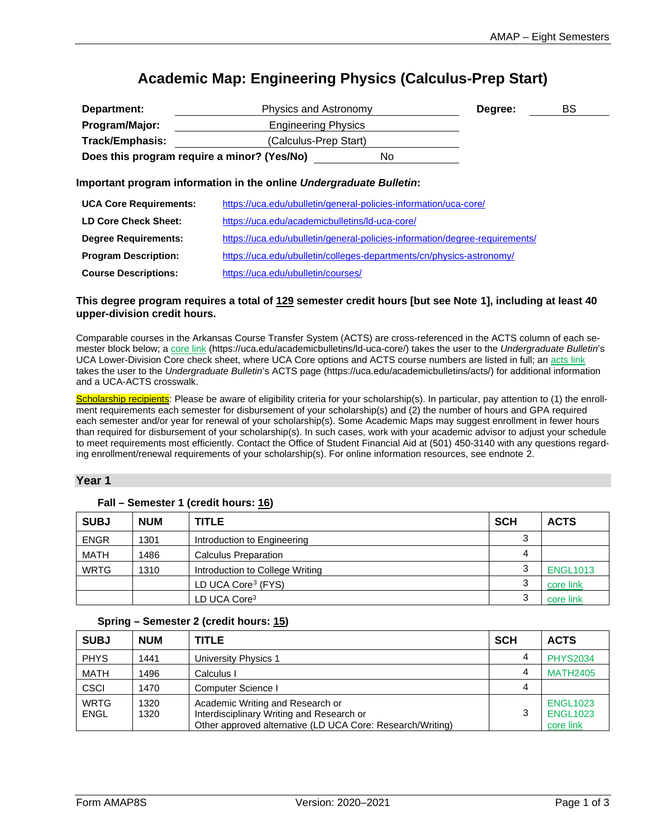# **Academic Map: Engineering Physics (Calculus-Prep Start)**

| Department:                                 | Physics and Astronomy                                                                                                                                                                                                                                                                            |                       | Degree: | BS |
|---------------------------------------------|--------------------------------------------------------------------------------------------------------------------------------------------------------------------------------------------------------------------------------------------------------------------------------------------------|-----------------------|---------|----|
| Program/Major:                              | <b>Engineering Physics</b>                                                                                                                                                                                                                                                                       |                       |         |    |
| Track/Emphasis:                             |                                                                                                                                                                                                                                                                                                  | (Calculus-Prep Start) |         |    |
| Does this program require a minor? (Yes/No) |                                                                                                                                                                                                                                                                                                  | No.                   |         |    |
|                                             | Important program information in the online Undergraduate Bulletin:                                                                                                                                                                                                                              |                       |         |    |
| <b>UCA Core Requirements:</b>               | https://uca.edu/ubulletin/general-policies-information/uca-core/                                                                                                                                                                                                                                 |                       |         |    |
| $\mathbf{r}$                                | $\mathbf{1}$ and $\mathbf{1}$ and $\mathbf{1}$ and $\mathbf{1}$ and $\mathbf{1}$ and $\mathbf{1}$ and $\mathbf{1}$ and $\mathbf{1}$ and $\mathbf{1}$ and $\mathbf{1}$ and $\mathbf{1}$ and $\mathbf{1}$ and $\mathbf{1}$ and $\mathbf{1}$ and $\mathbf{1}$ and $\mathbf{1}$ and $\mathbf{1}$ and |                       |         |    |

| LD Core Check Sheet:        | https://uca.edu/academicbulletins/ld-uca-core/                              |
|-----------------------------|-----------------------------------------------------------------------------|
| <b>Degree Requirements:</b> | https://uca.edu/ubulletin/general-policies-information/degree-requirements/ |
| <b>Program Description:</b> | https://uca.edu/ubulletin/colleges-departments/cn/physics-astronomy/        |
| <b>Course Descriptions:</b> | https://uca.edu/ubulletin/courses/                                          |

### **This degree program requires a total of 129 semester credit hours [but see Note [1\]](#page-2-0), including at least 40 upper-division credit hours.**

Comparable courses in the Arkansas Course Transfer System (ACTS) are cross-referenced in the ACTS column of each semester block below; a [core link](https://uca.edu/academicbulletins/ld-uca-core/) (https://uca.edu/academicbulletins/ld-uca-core/) takes the user to the *Undergraduate Bulletin*'s UCA Lower-Division Core check sheet, where UCA Core options and ACTS course numbers are listed in full; a[n acts link](https://uca.edu/academicbulletins/acts/) takes the user to the *Undergraduate Bulletin*'s ACTS page (https://uca.edu/academicbulletins/acts/) for additional information and a UCA-ACTS crosswalk.

Scholarship recipients: Please be aware of eligibility criteria for your scholarship(s). In particular, pay attention to (1) the enrollment requirements each semester for disbursement of your scholarship(s) and (2) the number of hours and GPA required each semester and/or year for renewal of your scholarship(s). Some Academic Maps may suggest enrollment in fewer hours than required for disbursement of your scholarship(s). In such cases, work with your academic advisor to adjust your schedule to meet requirements most efficiently. Contact the Office of Student Financial Aid at (501) 450-3140 with any questions regarding enrollment/renewal requirements of your scholarship(s). For online information resources, see endnote [2.](#page-2-1)

#### **Year 1**

| <b>SUBJ</b> | <b>NUM</b> | <b>TITLE</b>                    | <b>SCH</b> | <b>ACTS</b>     |
|-------------|------------|---------------------------------|------------|-----------------|
| <b>ENGR</b> | 1301       | Introduction to Engineering     | ≏          |                 |
| <b>MATH</b> | 1486       | <b>Calculus Preparation</b>     | 4          |                 |
| <b>WRTG</b> | 1310       | Introduction to College Writing | w          | <b>ENGL1013</b> |
|             |            | LD UCA Core <sup>3</sup> (FYS)  |            | core link       |
|             |            | LD UCA Core <sup>3</sup>        | w          | core link       |

### **Fall – Semester 1 (credit hours: 16)**

#### <span id="page-0-0"></span>**Spring – Semester 2 (credit hours: 15)**

| <b>SUBJ</b>                | <b>NUM</b>   | <b>TITLE</b>                                                                                                                                | <b>SCH</b> | <b>ACTS</b>                                     |
|----------------------------|--------------|---------------------------------------------------------------------------------------------------------------------------------------------|------------|-------------------------------------------------|
| <b>PHYS</b>                | 1441         | University Physics 1                                                                                                                        | 4          | <b>PHYS2034</b>                                 |
| <b>MATH</b>                | 1496         | Calculus I                                                                                                                                  | 4          | <b>MATH2405</b>                                 |
| <b>CSCI</b>                | 1470         | Computer Science I                                                                                                                          | 4          |                                                 |
| <b>WRTG</b><br><b>ENGL</b> | 1320<br>1320 | Academic Writing and Research or<br>Interdisciplinary Writing and Research or<br>Other approved alternative (LD UCA Core: Research/Writing) |            | <b>ENGL1023</b><br><b>ENGL1023</b><br>core link |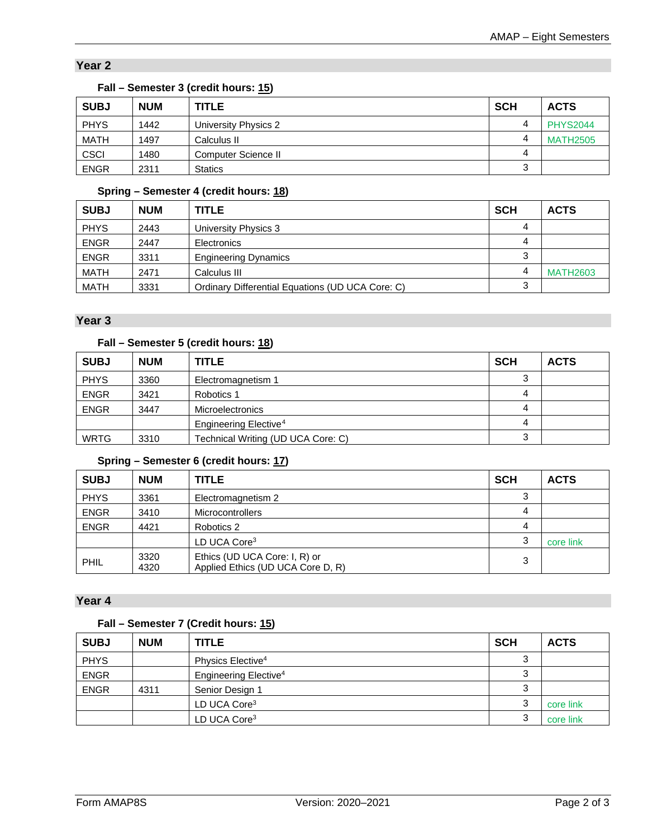# **Year 2**

| <b>SUBJ</b> | <b>NUM</b> | <b>TITLE</b>         | <b>SCH</b> | <b>ACTS</b>     |
|-------------|------------|----------------------|------------|-----------------|
| <b>PHYS</b> | 1442       | University Physics 2 |            | <b>PHYS2044</b> |
| <b>MATH</b> | 1497       | Calculus II          | 4          | <b>MATH2505</b> |
| <b>CSCI</b> | 1480       | Computer Science II  | 4          |                 |
| <b>ENGR</b> | 2311       | <b>Statics</b>       | ົ<br>Ő     |                 |

## **Fall – Semester 3 (credit hours: 15)**

## **Spring – Semester 4 (credit hours: 18)**

| <b>SUBJ</b> | <b>NUM</b> | <b>TITLE</b>                                     | <b>SCH</b> | <b>ACTS</b>     |
|-------------|------------|--------------------------------------------------|------------|-----------------|
| <b>PHYS</b> | 2443       | University Physics 3                             | 4          |                 |
| <b>ENGR</b> | 2447       | Electronics                                      | 4          |                 |
| <b>ENGR</b> | 3311       | <b>Engineering Dynamics</b>                      |            |                 |
| <b>MATH</b> | 2471       | Calculus III                                     |            | <b>MATH2603</b> |
| <b>MATH</b> | 3331       | Ordinary Differential Equations (UD UCA Core: C) |            |                 |

## **Year 3**

# **Fall – Semester 5 (credit hours: 18)**

| <b>SUBJ</b> | <b>NUM</b> | <b>TITLE</b>                       | <b>SCH</b> | <b>ACTS</b> |
|-------------|------------|------------------------------------|------------|-------------|
| <b>PHYS</b> | 3360       | Electromagnetism 1                 | ◠          |             |
| <b>ENGR</b> | 3421       | Robotics 1                         | 4          |             |
| <b>ENGR</b> | 3447       | <b>Microelectronics</b>            | 4          |             |
|             |            | Engineering Elective <sup>4</sup>  | 4          |             |
| WRTG        | 3310       | Technical Writing (UD UCA Core: C) | د.         |             |

## <span id="page-1-0"></span>**Spring – Semester 6 (credit hours: 17)**

| <b>SUBJ</b> | <b>NUM</b>   | <b>TITLE</b>                                                       | <b>SCH</b> | <b>ACTS</b> |
|-------------|--------------|--------------------------------------------------------------------|------------|-------------|
| <b>PHYS</b> | 3361         | Electromagnetism 2                                                 | 3          |             |
| <b>ENGR</b> | 3410         | <b>Microcontrollers</b>                                            | 4          |             |
| <b>ENGR</b> | 4421         | Robotics 2                                                         | 4          |             |
|             |              | LD UCA Core <sup>3</sup>                                           | ◠          | core link   |
| PHIL        | 3320<br>4320 | Ethics (UD UCA Core: I, R) or<br>Applied Ethics (UD UCA Core D, R) | 3          |             |

## **Year 4**

# **Fall – Semester 7 (Credit hours: 15)**

| <b>SUBJ</b> | <b>NUM</b> | <b>TITLE</b>                      | <b>SCH</b> | <b>ACTS</b> |
|-------------|------------|-----------------------------------|------------|-------------|
| <b>PHYS</b> |            | Physics Elective <sup>4</sup>     |            |             |
| <b>ENGR</b> |            | Engineering Elective <sup>4</sup> |            |             |
| <b>ENGR</b> | 4311       | Senior Design 1                   |            |             |
|             |            | LD UCA Core <sup>3</sup>          | ت.         | core link   |
|             |            | LD UCA Core <sup>3</sup>          | w          | core link   |